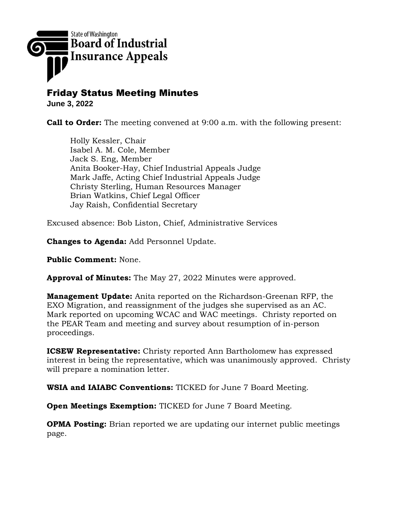

## Friday Status Meeting Minutes

**June 3, 2022**

**Call to Order:** The meeting convened at 9:00 a.m. with the following present:

Holly Kessler, Chair Isabel A. M. Cole, Member Jack S. Eng, Member Anita Booker-Hay, Chief Industrial Appeals Judge Mark Jaffe, Acting Chief Industrial Appeals Judge Christy Sterling, Human Resources Manager Brian Watkins, Chief Legal Officer Jay Raish, Confidential Secretary

Excused absence: Bob Liston, Chief, Administrative Services

**Changes to Agenda:** Add Personnel Update.

**Public Comment:** None.

**Approval of Minutes:** The May 27, 2022 Minutes were approved.

**Management Update:** Anita reported on the Richardson-Greenan RFP, the EXO Migration, and reassignment of the judges she supervised as an AC. Mark reported on upcoming WCAC and WAC meetings. Christy reported on the PEAR Team and meeting and survey about resumption of in-person proceedings.

**ICSEW Representative:** Christy reported Ann Bartholomew has expressed interest in being the representative, which was unanimously approved. Christy will prepare a nomination letter.

**WSIA and IAIABC Conventions:** TICKED for June 7 Board Meeting.

**Open Meetings Exemption:** TICKED for June 7 Board Meeting.

**OPMA Posting:** Brian reported we are updating our internet public meetings page.